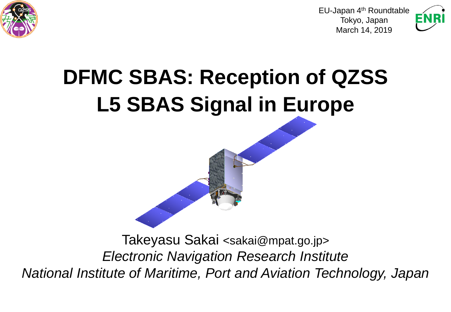

EU-Japan 4th Roundtable Tokyo, Japan March 14, 2019



## **DFMC SBAS: Reception of QZSS L5 SBAS Signal in Europe**

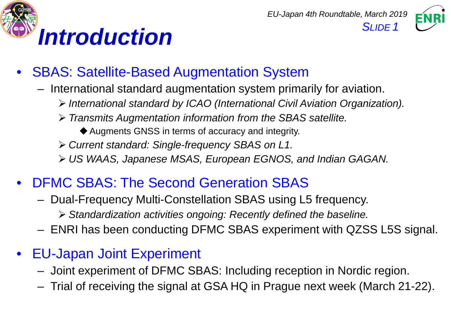



- SBAS: Satellite-Based Augmentation System
	- International standard augmentation system primarily for aviation.
		- *International standard by ICAO (International Civil Aviation Organization).*
		- *Transmits Augmentation information from the SBAS satellite.*
			- Augments GNSS in terms of accuracy and integrity.
		- *Current standard: Single-frequency SBAS on L1.*
		- *US WAAS, Japanese MSAS, European EGNOS, and Indian GAGAN.*
- DFMC SBAS: The Second Generation SBAS
	- Dual-Frequency Multi-Constellation SBAS using L5 frequency.
		- *Standardization activities ongoing: Recently defined the baseline.*
	- ENRI has been conducting DFMC SBAS experiment with QZSS L5S signal.
- EU-Japan Joint Experiment
	- Joint experiment of DFMC SBAS: Including reception in Nordic region.
	- Trial of receiving the signal at GSA HQ in Prague next week (March 21-22).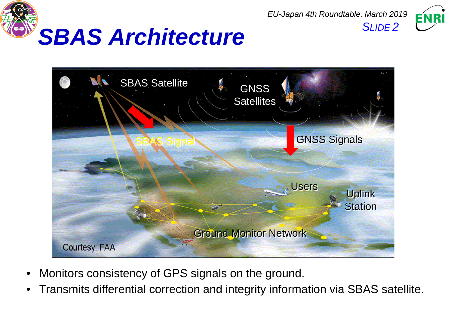

SBAS Satellite **1** GNSS **Satellites GNSS Signals Jsers** Uplink **Station** Ground Monitor Network Courtesy: FAA

*EU-Japan 4th Roundtable, March 2019*

- Monitors consistency of GPS signals on the ground.
- Transmits differential correction and integrity information via SBAS satellite.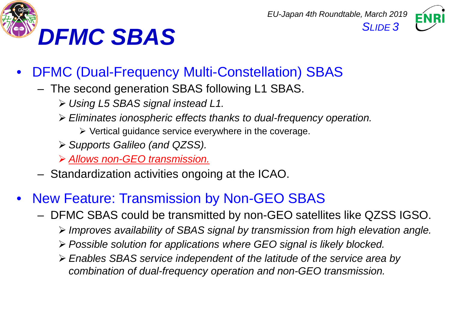



- DFMC (Dual-Frequency Multi-Constellation) SBAS
	- The second generation SBAS following L1 SBAS.
		- *Using L5 SBAS signal instead L1.*
		- *Eliminates ionospheric effects thanks to dual-frequency operation.*
			- $\triangleright$  Vertical guidance service everywhere in the coverage.
		- *Supports Galileo (and QZSS).*
		- *Allows non-GEO transmission.*
	- Standardization activities ongoing at the ICAO.
- New Feature: Transmission by Non-GEO SBAS
	- DFMC SBAS could be transmitted by non-GEO satellites like QZSS IGSO.
		- *Improves availability of SBAS signal by transmission from high elevation angle.*
		- *Possible solution for applications where GEO signal is likely blocked.*
		- *Enables SBAS service independent of the latitude of the service area by combination of dual-frequency operation and non-GEO transmission.*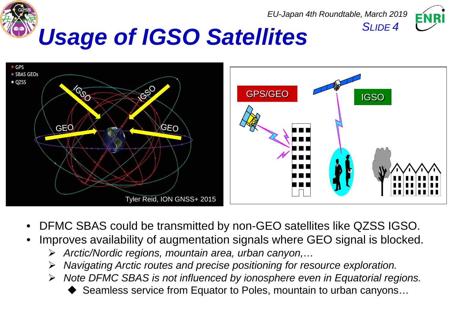



- DFMC SBAS could be transmitted by non-GEO satellites like QZSS IGSO.
- Improves availability of augmentation signals where GEO signal is blocked.
	- *Arctic/Nordic regions, mountain area, urban canyon,…*
	- *Navigating Arctic routes and precise positioning for resource exploration.*
	- *Note DFMC SBAS is not influenced by ionosphere even in Equatorial regions.*
		- ◆ Seamless service from Equator to Poles, mountain to urban canyons...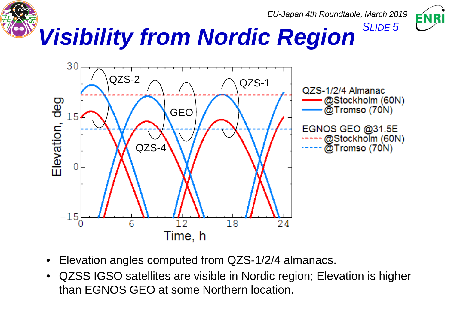



ENRI

- Elevation angles computed from QZS-1/2/4 almanacs.
- QZSS IGSO satellites are visible in Nordic region; Elevation is higher than EGNOS GEO at some Northern location.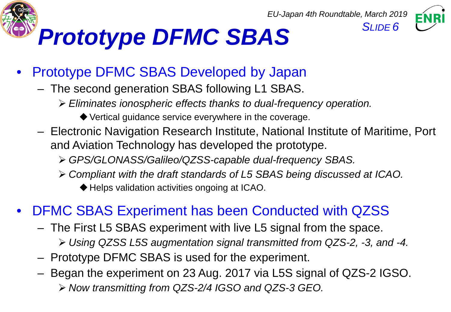





## • Prototype DFMC SBAS Developed by Japan

- The second generation SBAS following L1 SBAS.
	- *Eliminates ionospheric effects thanks to dual-frequency operation.*
		- ◆ Vertical guidance service everywhere in the coverage.
- Electronic Navigation Research Institute, National Institute of Maritime, Port and Aviation Technology has developed the prototype.
	- *GPS/GLONASS/Galileo/QZSS-capable dual-frequency SBAS.*
	- *Compliant with the draft standards of L5 SBAS being discussed at ICAO.*
		- ◆ Helps validation activities ongoing at ICAO.

## • DFMC SBAS Experiment has been Conducted with QZSS

- The First L5 SBAS experiment with live L5 signal from the space.
	- *Using QZSS L5S augmentation signal transmitted from QZS-2, -3, and -4.*
- Prototype DFMC SBAS is used for the experiment.
- Began the experiment on 23 Aug. 2017 via L5S signal of QZS-2 IGSO. *Now transmitting from QZS-2/4 IGSO and QZS-3 GEO.*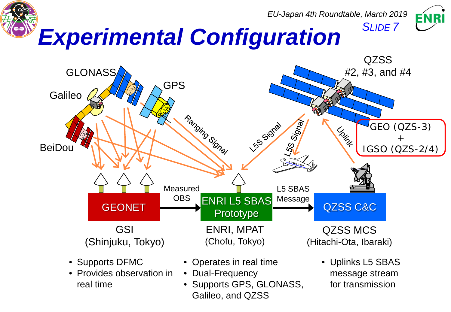

- Provides observation in real time
- Dual-Frequency
	- Supports GPS, GLONASS, Galileo, and QZSS
- message stream for transmission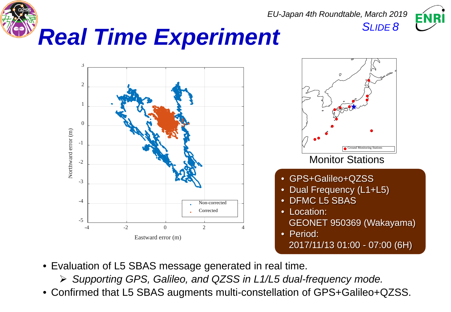



- Evaluation of L5 SBAS message generated in real time.
	- *Supporting GPS, Galileo, and QZSS in L1/L5 dual-frequency mode.*
- Confirmed that L5 SBAS augments multi-constellation of GPS+Galileo+QZSS.